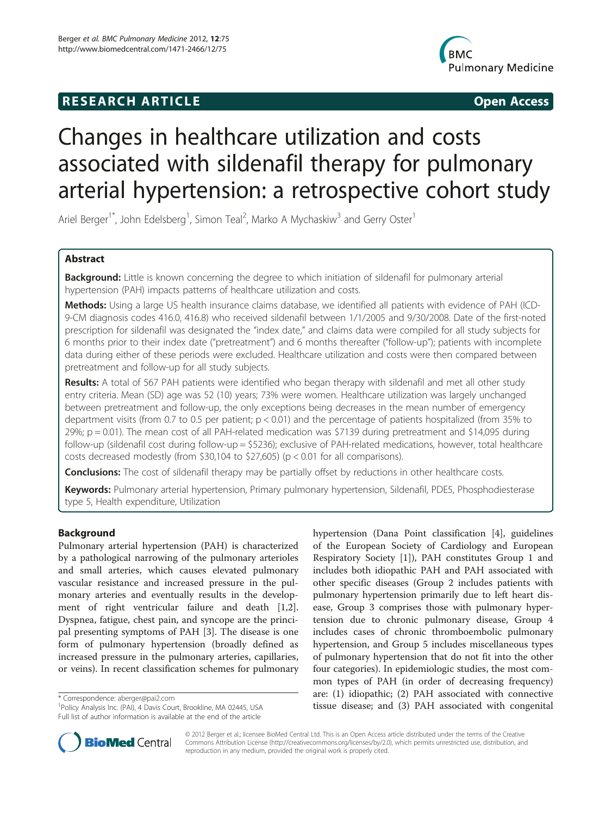# **RESEARCH ARTICLE Example 2018 12:00 Open Access**



# Changes in healthcare utilization and costs associated with sildenafil therapy for pulmonary arterial hypertension: a retrospective cohort study

Ariel Berger<sup>1\*</sup>, John Edelsberg<sup>1</sup>, Simon Teal<sup>2</sup>, Marko A Mychaskiw<sup>3</sup> and Gerry Oster<sup>1</sup>

# Abstract

Background: Little is known concerning the degree to which initiation of sildenafil for pulmonary arterial hypertension (PAH) impacts patterns of healthcare utilization and costs.

Methods: Using a large US health insurance claims database, we identified all patients with evidence of PAH (ICD-9-CM diagnosis codes 416.0, 416.8) who received sildenafil between 1/1/2005 and 9/30/2008. Date of the first-noted prescription for sildenafil was designated the "index date," and claims data were compiled for all study subjects for 6 months prior to their index date ("pretreatment") and 6 months thereafter ("follow-up"); patients with incomplete data during either of these periods were excluded. Healthcare utilization and costs were then compared between pretreatment and follow-up for all study subjects.

Results: A total of 567 PAH patients were identified who began therapy with sildenafil and met all other study entry criteria. Mean (SD) age was 52 (10) years; 73% were women. Healthcare utilization was largely unchanged between pretreatment and follow-up, the only exceptions being decreases in the mean number of emergency department visits (from 0.7 to 0.5 per patient; p < 0.01) and the percentage of patients hospitalized (from 35% to  $29\%$ ; p = 0.01). The mean cost of all PAH-related medication was \$7139 during pretreatment and \$14,095 during follow-up (sildenafil cost during follow-up = \$5236); exclusive of PAH-related medications, however, total healthcare costs decreased modestly (from \$30,104 to \$27,605) (p < 0.01 for all comparisons).

**Conclusions:** The cost of sildenafil therapy may be partially offset by reductions in other healthcare costs.

Keywords: Pulmonary arterial hypertension, Primary pulmonary hypertension, Sildenafil, PDE5, Phosphodiesterase type 5, Health expenditure, Utilization

# Background

Pulmonary arterial hypertension (PAH) is characterized by a pathological narrowing of the pulmonary arterioles and small arteries, which causes elevated pulmonary vascular resistance and increased pressure in the pulmonary arteries and eventually results in the development of right ventricular failure and death [\[1,2](#page-7-0)]. Dyspnea, fatigue, chest pain, and syncope are the principal presenting symptoms of PAH [[3\]](#page-7-0). The disease is one form of pulmonary hypertension (broadly defined as increased pressure in the pulmonary arteries, capillaries, or veins). In recent classification schemes for pulmonary

<sup>1</sup>Policy Analysis Inc. (PAI), 4 Davis Court, Brookline, MA 02445, USA Full list of author information is available at the end of the article

hypertension (Dana Point classification [[4\]](#page-7-0), guidelines of the European Society of Cardiology and European Respiratory Society [\[1](#page-7-0)]), PAH constitutes Group 1 and includes both idiopathic PAH and PAH associated with other specific diseases (Group 2 includes patients with pulmonary hypertension primarily due to left heart disease, Group 3 comprises those with pulmonary hypertension due to chronic pulmonary disease, Group 4 includes cases of chronic thromboembolic pulmonary hypertension, and Group 5 includes miscellaneous types of pulmonary hypertension that do not fit into the other four categories). In epidemiologic studies, the most common types of PAH (in order of decreasing frequency) are: (1) idiopathic; (2) PAH associated with connective tics orrespondence: [aberger@pai2.com](mailto:aberger@pai2.com)<br>
<sup>1</sup>Policy Analysis Inc. (PAI), 4 Davis Court, Brookline, MA 02445, USA **1898 tissue disease; and (3) PAH associated with congenital** 



© 2012 Berger et al.; licensee BioMed Central Ltd. This is an Open Access article distributed under the terms of the Creative Commons Attribution License [\(http://creativecommons.org/licenses/by/2.0\)](http://creativecommons.org/licenses/by/2.0), which permits unrestricted use, distribution, and reproduction in any medium, provided the original work is properly cited.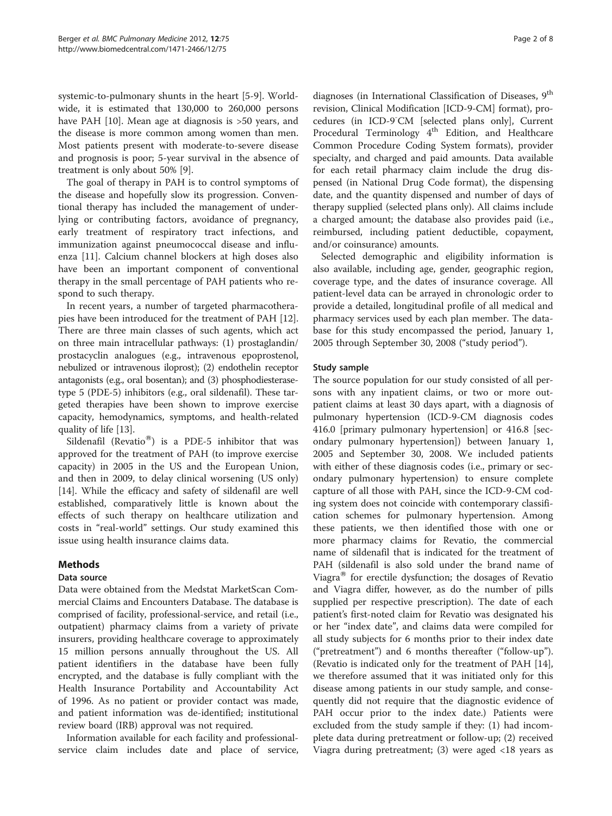systemic-to-pulmonary shunts in the heart [[5-9](#page-7-0)]. Worldwide, it is estimated that 130,000 to 260,000 persons have PAH [\[10\]](#page-7-0). Mean age at diagnosis is >50 years, and the disease is more common among women than men. Most patients present with moderate-to-severe disease and prognosis is poor; 5-year survival in the absence of treatment is only about 50% [\[9](#page-7-0)].

The goal of therapy in PAH is to control symptoms of the disease and hopefully slow its progression. Conventional therapy has included the management of underlying or contributing factors, avoidance of pregnancy, early treatment of respiratory tract infections, and immunization against pneumococcal disease and influenza [[11](#page-7-0)]. Calcium channel blockers at high doses also have been an important component of conventional therapy in the small percentage of PAH patients who respond to such therapy.

In recent years, a number of targeted pharmacotherapies have been introduced for the treatment of PAH [[12](#page-7-0)]. There are three main classes of such agents, which act on three main intracellular pathways: (1) prostaglandin/ prostacyclin analogues (e.g., intravenous epoprostenol, nebulized or intravenous iloprost); (2) endothelin receptor antagonists (e.g., oral bosentan); and (3) phosphodiesterasetype 5 (PDE-5) inhibitors (e.g., oral sildenafil). These targeted therapies have been shown to improve exercise capacity, hemodynamics, symptoms, and health-related quality of life [\[13](#page-7-0)].

Sildenafil (Revatio $^{\circledR}$ ) is a PDE-5 inhibitor that was approved for the treatment of PAH (to improve exercise capacity) in 2005 in the US and the European Union, and then in 2009, to delay clinical worsening (US only) [[14\]](#page-7-0). While the efficacy and safety of sildenafil are well established, comparatively little is known about the effects of such therapy on healthcare utilization and costs in "real-world" settings. Our study examined this issue using health insurance claims data.

# Methods

# Data source

Data were obtained from the Medstat MarketScan Commercial Claims and Encounters Database. The database is comprised of facility, professional-service, and retail (i.e., outpatient) pharmacy claims from a variety of private insurers, providing healthcare coverage to approximately 15 million persons annually throughout the US. All patient identifiers in the database have been fully encrypted, and the database is fully compliant with the Health Insurance Portability and Accountability Act of 1996. As no patient or provider contact was made, and patient information was de-identified; institutional review board (IRB) approval was not required.

Information available for each facility and professionalservice claim includes date and place of service, diagnoses (in International Classification of Diseases, 9<sup>th</sup> revision, Clinical Modification [ICD-9-CM] format), procedures (in ICD-9<sup>-</sup>CM [selected plans only], Current Procedural Terminology 4<sup>th</sup> Edition, and Healthcare Common Procedure Coding System formats), provider specialty, and charged and paid amounts. Data available for each retail pharmacy claim include the drug dispensed (in National Drug Code format), the dispensing date, and the quantity dispensed and number of days of therapy supplied (selected plans only). All claims include a charged amount; the database also provides paid (i.e., reimbursed, including patient deductible, copayment, and/or coinsurance) amounts.

Selected demographic and eligibility information is also available, including age, gender, geographic region, coverage type, and the dates of insurance coverage. All patient-level data can be arrayed in chronologic order to provide a detailed, longitudinal profile of all medical and pharmacy services used by each plan member. The database for this study encompassed the period, January 1, 2005 through September 30, 2008 ("study period").

# Study sample

The source population for our study consisted of all persons with any inpatient claims, or two or more outpatient claims at least 30 days apart, with a diagnosis of pulmonary hypertension (ICD-9-CM diagnosis codes 416.0 [primary pulmonary hypertension] or 416.8 [secondary pulmonary hypertension]) between January 1, 2005 and September 30, 2008. We included patients with either of these diagnosis codes (i.e., primary or secondary pulmonary hypertension) to ensure complete capture of all those with PAH, since the ICD-9-CM coding system does not coincide with contemporary classification schemes for pulmonary hypertension. Among these patients, we then identified those with one or more pharmacy claims for Revatio, the commercial name of sildenafil that is indicated for the treatment of PAH (sildenafil is also sold under the brand name of Viagra $^{\circledR}$  for erectile dysfunction; the dosages of Revatio and Viagra differ, however, as do the number of pills supplied per respective prescription). The date of each patient's first-noted claim for Revatio was designated his or her "index date", and claims data were compiled for all study subjects for 6 months prior to their index date ("pretreatment") and 6 months thereafter ("follow-up"). (Revatio is indicated only for the treatment of PAH [\[14](#page-7-0)], we therefore assumed that it was initiated only for this disease among patients in our study sample, and consequently did not require that the diagnostic evidence of PAH occur prior to the index date.) Patients were excluded from the study sample if they: (1) had incomplete data during pretreatment or follow-up; (2) received Viagra during pretreatment; (3) were aged <18 years as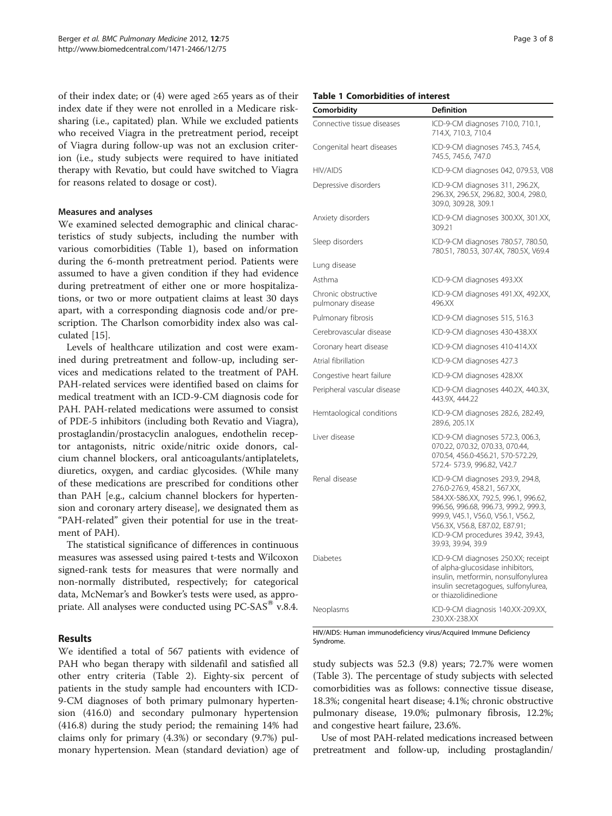of their index date; or  $(4)$  were aged  $\geq 65$  years as of their index date if they were not enrolled in a Medicare risksharing (i.e., capitated) plan. While we excluded patients who received Viagra in the pretreatment period, receipt of Viagra during follow-up was not an exclusion criterion (i.e., study subjects were required to have initiated therapy with Revatio, but could have switched to Viagra for reasons related to dosage or cost).

# Measures and analyses

We examined selected demographic and clinical characteristics of study subjects, including the number with various comorbidities (Table 1), based on information during the 6-month pretreatment period. Patients were assumed to have a given condition if they had evidence during pretreatment of either one or more hospitalizations, or two or more outpatient claims at least 30 days apart, with a corresponding diagnosis code and/or prescription. The Charlson comorbidity index also was calculated [\[15](#page-7-0)].

Levels of healthcare utilization and cost were examined during pretreatment and follow-up, including services and medications related to the treatment of PAH. PAH-related services were identified based on claims for medical treatment with an ICD-9-CM diagnosis code for PAH. PAH-related medications were assumed to consist of PDE-5 inhibitors (including both Revatio and Viagra), prostaglandin/prostacyclin analogues, endothelin receptor antagonists, nitric oxide/nitric oxide donors, calcium channel blockers, oral anticoagulants/antiplatelets, diuretics, oxygen, and cardiac glycosides. (While many of these medications are prescribed for conditions other than PAH [e.g., calcium channel blockers for hypertension and coronary artery disease], we designated them as "PAH-related" given their potential for use in the treatment of PAH).

The statistical significance of differences in continuous measures was assessed using paired t-tests and Wilcoxon signed-rank tests for measures that were normally and non-normally distributed, respectively; for categorical data, McNemar's and Bowker's tests were used, as appropriate. All analyses were conducted using  $PC\text{-}SAS^{\otimes}$  v.8.4.

# Results

We identified a total of 567 patients with evidence of PAH who began therapy with sildenafil and satisfied all other entry criteria (Table [2\)](#page-3-0). Eighty-six percent of patients in the study sample had encounters with ICD-9-CM diagnoses of both primary pulmonary hypertension (416.0) and secondary pulmonary hypertension (416.8) during the study period; the remaining 14% had claims only for primary (4.3%) or secondary (9.7%) pulmonary hypertension. Mean (standard deviation) age of

# Table 1 Comorbidities of interest

| Comorbidity                              | <b>Definition</b>                                                                                                                                                                                                                                                                    |
|------------------------------------------|--------------------------------------------------------------------------------------------------------------------------------------------------------------------------------------------------------------------------------------------------------------------------------------|
| Connective tissue diseases               | ICD-9-CM diagnoses 710.0, 710.1,<br>714.X, 710.3, 710.4                                                                                                                                                                                                                              |
| Congenital heart diseases                | ICD-9-CM diagnoses 745.3, 745.4,<br>745.5, 745.6, 747.0                                                                                                                                                                                                                              |
| HIV/AIDS                                 | ICD-9-CM diagnoses 042, 079.53, V08                                                                                                                                                                                                                                                  |
| Depressive disorders                     | ICD-9-CM diagnoses 311, 296.2X,<br>296.3X, 296.5X, 296.82, 300.4, 298.0,<br>309.0, 309.28, 309.1                                                                                                                                                                                     |
| Anxiety disorders                        | ICD-9-CM diagnoses 300.XX, 301.XX,<br>309.21                                                                                                                                                                                                                                         |
| Sleep disorders                          | ICD-9-CM diagnoses 780.57, 780.50,<br>780.51, 780.53, 307.4X, 780.5X, V69.4                                                                                                                                                                                                          |
| Lung disease                             |                                                                                                                                                                                                                                                                                      |
| Asthma                                   | ICD-9-CM diagnoses 493.XX                                                                                                                                                                                                                                                            |
| Chronic obstructive<br>pulmonary disease | ICD-9-CM diagnoses 491.XX, 492.XX,<br>496.XX                                                                                                                                                                                                                                         |
| Pulmonary fibrosis                       | ICD-9-CM diagnoses 515, 516.3                                                                                                                                                                                                                                                        |
| Cerebrovascular disease                  | ICD-9-CM diagnoses 430-438.XX                                                                                                                                                                                                                                                        |
| Coronary heart disease                   | ICD-9-CM diagnoses 410-414.XX                                                                                                                                                                                                                                                        |
| Atrial fibrillation                      | ICD-9-CM diagnoses 427.3                                                                                                                                                                                                                                                             |
| Congestive heart failure                 | ICD-9-CM diagnoses 428.XX                                                                                                                                                                                                                                                            |
| Peripheral vascular disease              | ICD-9-CM diagnoses 440.2X, 440.3X,<br>443.9X, 444.22                                                                                                                                                                                                                                 |
| Hemtaological conditions                 | ICD-9-CM diagnoses 282.6, 282.49,<br>289.6, 205.1X                                                                                                                                                                                                                                   |
| Liver disease                            | ICD-9-CM diagnoses 572.3, 006.3,<br>070.22, 070.32, 070.33, 070.44,<br>070.54, 456.0-456.21, 570-572.29,<br>572.4- 573.9, 996.82, V42.7                                                                                                                                              |
| Renal disease                            | ICD-9-CM diagnoses 293.9, 294.8,<br>276.0-276.9, 458.21, 567.XX,<br>584.XX-586.XX, 792.5, 996.1, 996.62,<br>996.56, 996.68, 996.73, 999.2, 999.3,<br>999.9, V45.1, V56.0, V56.1, V56.2,<br>V56.3X, V56.8, E87.02, E87.91;<br>ICD-9-CM procedures 39.42, 39.43,<br>39.93, 39.94, 39.9 |
| <b>Diabetes</b>                          | ICD-9-CM diagnoses 250.XX; receipt<br>of alpha-glucosidase inhibitors,<br>insulin, metformin, nonsulfonylurea<br>insulin secretagogues, sulfonylurea,<br>or thiazolidinedione                                                                                                        |
| Neoplasms                                | ICD-9-CM diagnosis 140.XX-209.XX,<br>230.XX-238.XX                                                                                                                                                                                                                                   |

HIV/AIDS: Human immunodeficiency virus/Acquired Immune Deficiency Syndrome.

study subjects was 52.3 (9.8) years; 72.7% were women (Table [3](#page-3-0)). The percentage of study subjects with selected comorbidities was as follows: connective tissue disease, 18.3%; congenital heart disease; 4.1%; chronic obstructive pulmonary disease, 19.0%; pulmonary fibrosis, 12.2%; and congestive heart failure, 23.6%.

Use of most PAH-related medications increased between pretreatment and follow-up, including prostaglandin/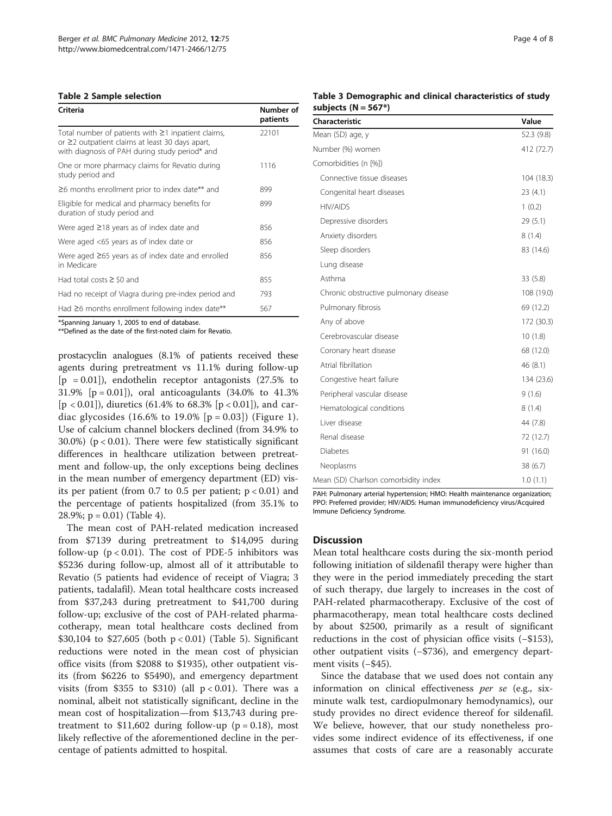#### <span id="page-3-0"></span>Table 2 Sample selection

| Criteria                                                                                                                                                            | Number of<br>patients |
|---------------------------------------------------------------------------------------------------------------------------------------------------------------------|-----------------------|
| Total number of patients with $\geq$ 1 inpatient claims,<br>or $\geq$ 2 outpatient claims at least 30 days apart,<br>with diagnosis of PAH during study period* and | 22101                 |
| One or more pharmacy claims for Revatio during<br>study period and                                                                                                  | 1116                  |
| $\geq$ 6 months enrollment prior to index date** and                                                                                                                | 899                   |
| Eligible for medical and pharmacy benefits for<br>duration of study period and                                                                                      | 899                   |
| Were aged $\geq$ 18 years as of index date and                                                                                                                      | 856                   |
| Were aged <65 years as of index date or                                                                                                                             | 856                   |
| Were aged $\geq 65$ years as of index date and enrolled<br>in Medicare                                                                                              | 856                   |
| Had total costs $\geq$ \$0 and                                                                                                                                      | 855                   |
| Had no receipt of Viagra during pre-index period and                                                                                                                | 793                   |
| Had $\geq$ 6 months enrollment following index date**                                                                                                               | 567                   |

\*Spanning January 1, 2005 to end of database.

\*\*Defined as the date of the first-noted claim for Revatio.

prostacyclin analogues (8.1% of patients received these agents during pretreatment vs 11.1% during follow-up  $[p = 0.01]$ , endothelin receptor antagonists (27.5% to 31.9% [p = 0.01]), oral anticoagulants (34.0% to 41.3% [ $p < 0.01$ ]), diuretics (61.4% to 68.3% [ $p < 0.01$ ]), and cardiac glycosides (16.6% to 19.0%  $[p = 0.03]$ ) (Figure [1\)](#page-4-0). Use of calcium channel blockers declined (from 34.9% to 30.0%) ( $p < 0.01$ ). There were few statistically significant differences in healthcare utilization between pretreatment and follow-up, the only exceptions being declines in the mean number of emergency department (ED) visits per patient (from 0.7 to 0.5 per patient;  $p < 0.01$ ) and the percentage of patients hospitalized (from 35.1% to 28.9%;  $p = 0.01$ ) (Table [4\)](#page-5-0).

The mean cost of PAH-related medication increased from \$7139 during pretreatment to \$14,095 during follow-up ( $p < 0.01$ ). The cost of PDE-5 inhibitors was \$5236 during follow-up, almost all of it attributable to Revatio (5 patients had evidence of receipt of Viagra; 3 patients, tadalafil). Mean total healthcare costs increased from \$37,243 during pretreatment to \$41,700 during follow-up; exclusive of the cost of PAH-related pharmacotherapy, mean total healthcare costs declined from \$30,104 to \$27,605 (both p < 0.01) (Table [5](#page-6-0)). Significant reductions were noted in the mean cost of physician office visits (from \$2088 to \$1935), other outpatient visits (from \$6226 to \$5490), and emergency department visits (from \$355 to \$310) (all  $p < 0.01$ ). There was a nominal, albeit not statistically significant, decline in the mean cost of hospitalization—from \$13,743 during pretreatment to \$11,602 during follow-up ( $p = 0.18$ ), most likely reflective of the aforementioned decline in the percentage of patients admitted to hospital.

# Table 3 Demographic and clinical characteristics of study subjects  $(N = 567*)$

| Characteristic                        | Value      |
|---------------------------------------|------------|
| Mean (SD) age, y                      | 52.3 (9.8) |
| Number (%) women                      | 412 (72.7) |
| Comorbidities (n [%])                 |            |
| Connective tissue diseases            | 104 (18.3) |
| Congenital heart diseases             | 23(4.1)    |
| <b>HIV/AIDS</b>                       | 1(0.2)     |
| Depressive disorders                  | 29(5.1)    |
| Anxiety disorders                     | 8(1.4)     |
| Sleep disorders                       | 83 (14.6)  |
| Lung disease                          |            |
| Asthma                                | 33(5.8)    |
| Chronic obstructive pulmonary disease | 108 (19.0) |
| Pulmonary fibrosis                    | 69 (12.2)  |
| Any of above                          | 172 (30.3) |
| Cerebrovascular disease               | 10(1.8)    |
| Coronary heart disease                | 68 (12.0)  |
| Atrial fibrillation                   | 46 (8.1)   |
| Congestive heart failure              | 134 (23.6) |
| Peripheral vascular disease           | 9(1.6)     |
| Hematological conditions              | 8(1.4)     |
| Liver disease                         | 44 (7.8)   |
| Renal disease                         | 72 (12.7)  |
| <b>Diabetes</b>                       | 91 (16.0)  |
| Neoplasms                             | 38(6.7)    |
| Mean (SD) Charlson comorbidity index  | 1.0(1.1)   |

PAH: Pulmonary arterial hypertension; HMO: Health maintenance organization; PPO: Preferred provider; HIV/AIDS: Human immunodeficiency virus/Acquired Immune Deficiency Syndrome.

#### Discussion

Mean total healthcare costs during the six-month period following initiation of sildenafil therapy were higher than they were in the period immediately preceding the start of such therapy, due largely to increases in the cost of PAH-related pharmacotherapy. Exclusive of the cost of pharmacotherapy, mean total healthcare costs declined by about \$2500, primarily as a result of significant reductions in the cost of physician office visits (−\$153), other outpatient visits (−\$736), and emergency department visits (−\$45).

Since the database that we used does not contain any information on clinical effectiveness per se (e.g., sixminute walk test, cardiopulmonary hemodynamics), our study provides no direct evidence thereof for sildenafil. We believe, however, that our study nonetheless provides some indirect evidence of its effectiveness, if one assumes that costs of care are a reasonably accurate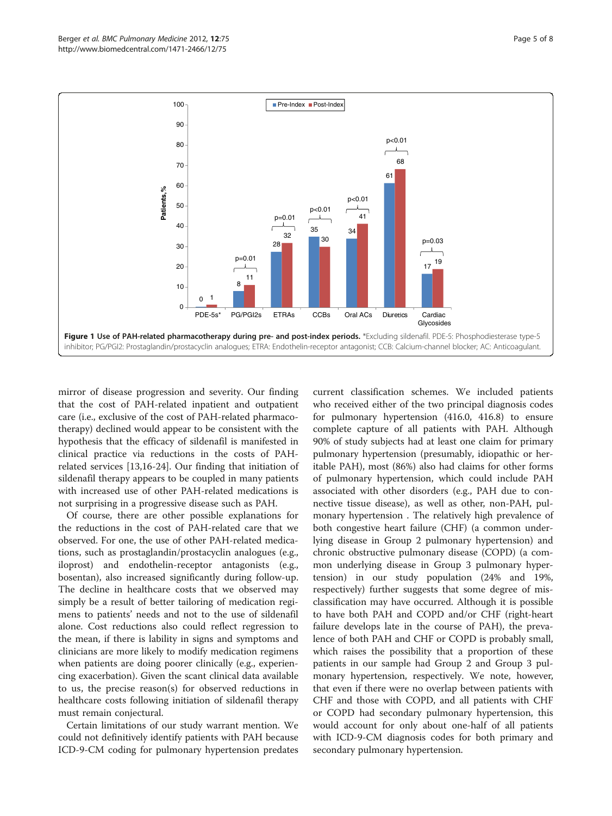<span id="page-4-0"></span>

mirror of disease progression and severity. Our finding that the cost of PAH-related inpatient and outpatient care (i.e., exclusive of the cost of PAH-related pharmacotherapy) declined would appear to be consistent with the hypothesis that the efficacy of sildenafil is manifested in clinical practice via reductions in the costs of PAHrelated services [\[13,16](#page-7-0)-[24\]](#page-7-0). Our finding that initiation of sildenafil therapy appears to be coupled in many patients with increased use of other PAH-related medications is not surprising in a progressive disease such as PAH.

Of course, there are other possible explanations for the reductions in the cost of PAH-related care that we observed. For one, the use of other PAH-related medications, such as prostaglandin/prostacyclin analogues (e.g., iloprost) and endothelin-receptor antagonists (e.g., bosentan), also increased significantly during follow-up. The decline in healthcare costs that we observed may simply be a result of better tailoring of medication regimens to patients' needs and not to the use of sildenafil alone. Cost reductions also could reflect regression to the mean, if there is lability in signs and symptoms and clinicians are more likely to modify medication regimens when patients are doing poorer clinically (e.g., experiencing exacerbation). Given the scant clinical data available to us, the precise reason(s) for observed reductions in healthcare costs following initiation of sildenafil therapy must remain conjectural.

Certain limitations of our study warrant mention. We could not definitively identify patients with PAH because ICD-9-CM coding for pulmonary hypertension predates current classification schemes. We included patients who received either of the two principal diagnosis codes for pulmonary hypertension (416.0, 416.8) to ensure complete capture of all patients with PAH. Although 90% of study subjects had at least one claim for primary pulmonary hypertension (presumably, idiopathic or heritable PAH), most (86%) also had claims for other forms of pulmonary hypertension, which could include PAH associated with other disorders (e.g., PAH due to connective tissue disease), as well as other, non-PAH, pulmonary hypertension . The relatively high prevalence of both congestive heart failure (CHF) (a common underlying disease in Group 2 pulmonary hypertension) and chronic obstructive pulmonary disease (COPD) (a common underlying disease in Group 3 pulmonary hypertension) in our study population (24% and 19%, respectively) further suggests that some degree of misclassification may have occurred. Although it is possible to have both PAH and COPD and/or CHF (right-heart failure develops late in the course of PAH), the prevalence of both PAH and CHF or COPD is probably small, which raises the possibility that a proportion of these patients in our sample had Group 2 and Group 3 pulmonary hypertension, respectively. We note, however, that even if there were no overlap between patients with CHF and those with COPD, and all patients with CHF or COPD had secondary pulmonary hypertension, this would account for only about one-half of all patients with ICD-9-CM diagnosis codes for both primary and secondary pulmonary hypertension.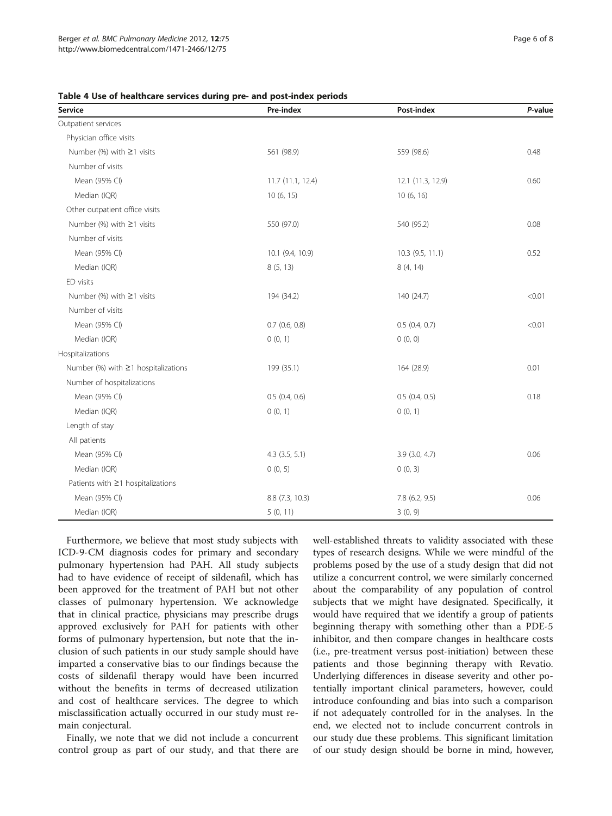| Service                                   | Pre-index          | Post-index         | P-value |
|-------------------------------------------|--------------------|--------------------|---------|
| Outpatient services                       |                    |                    |         |
| Physician office visits                   |                    |                    |         |
| Number (%) with ≥1 visits                 | 561 (98.9)         | 559 (98.6)         | 0.48    |
| Number of visits                          |                    |                    |         |
| Mean (95% CI)                             | 11.7 (11.1, 12.4)  | 12.1 (11.3, 12.9)  | 0.60    |
| Median (IQR)                              | 10 (6, 15)         | 10(6, 16)          |         |
| Other outpatient office visits            |                    |                    |         |
| Number (%) with $\geq$ 1 visits           | 550 (97.0)         | 540 (95.2)         | 0.08    |
| Number of visits                          |                    |                    |         |
| Mean (95% CI)                             | 10.1 (9.4, 10.9)   | $10.3$ (9.5, 11.1) | 0.52    |
| Median (IQR)                              | 8(5, 13)           | 8 (4, 14)          |         |
| ED visits                                 |                    |                    |         |
| Number (%) with $\geq$ 1 visits           | 194 (34.2)         | 140 (24.7)         | < 0.01  |
| Number of visits                          |                    |                    |         |
| Mean (95% CI)                             | $0.7$ $(0.6, 0.8)$ | 0.5(0.4, 0.7)      | < 0.01  |
| Median (IQR)                              | 0(0, 1)            | 0(0, 0)            |         |
| Hospitalizations                          |                    |                    |         |
| Number $%$ with $\geq$ 1 hospitalizations | 199 (35.1)         | 164 (28.9)         | 0.01    |
| Number of hospitalizations                |                    |                    |         |
| Mean (95% CI)                             | $0.5$ (0.4, 0.6)   | 0.5(0.4, 0.5)      | 0.18    |
| Median (IQR)                              | 0(0, 1)            | 0(0, 1)            |         |
| Length of stay                            |                    |                    |         |
| All patients                              |                    |                    |         |
| Mean (95% CI)                             | $4.3$ $(3.5, 5.1)$ | $3.9$ $(3.0, 4.7)$ | 0.06    |
| Median (IQR)                              | 0(0, 5)            | 0(0, 3)            |         |
| Patients with $\geq$ 1 hospitalizations   |                    |                    |         |
| Mean (95% CI)                             | 8.8 (7.3, 10.3)    | 7.8 (6.2, 9.5)     | 0.06    |
| Median (IQR)                              | 5(0, 11)           | 3(0, 9)            |         |

#### <span id="page-5-0"></span>Table 4 Use of healthcare services during pre- and post-index periods

Furthermore, we believe that most study subjects with ICD-9-CM diagnosis codes for primary and secondary pulmonary hypertension had PAH. All study subjects had to have evidence of receipt of sildenafil, which has been approved for the treatment of PAH but not other classes of pulmonary hypertension. We acknowledge that in clinical practice, physicians may prescribe drugs approved exclusively for PAH for patients with other forms of pulmonary hypertension, but note that the inclusion of such patients in our study sample should have imparted a conservative bias to our findings because the costs of sildenafil therapy would have been incurred without the benefits in terms of decreased utilization and cost of healthcare services. The degree to which misclassification actually occurred in our study must remain conjectural.

Finally, we note that we did not include a concurrent control group as part of our study, and that there are well-established threats to validity associated with these types of research designs. While we were mindful of the problems posed by the use of a study design that did not utilize a concurrent control, we were similarly concerned about the comparability of any population of control subjects that we might have designated. Specifically, it would have required that we identify a group of patients beginning therapy with something other than a PDE-5 inhibitor, and then compare changes in healthcare costs (i.e., pre-treatment versus post-initiation) between these patients and those beginning therapy with Revatio. Underlying differences in disease severity and other potentially important clinical parameters, however, could introduce confounding and bias into such a comparison if not adequately controlled for in the analyses. In the end, we elected not to include concurrent controls in our study due these problems. This significant limitation of our study design should be borne in mind, however,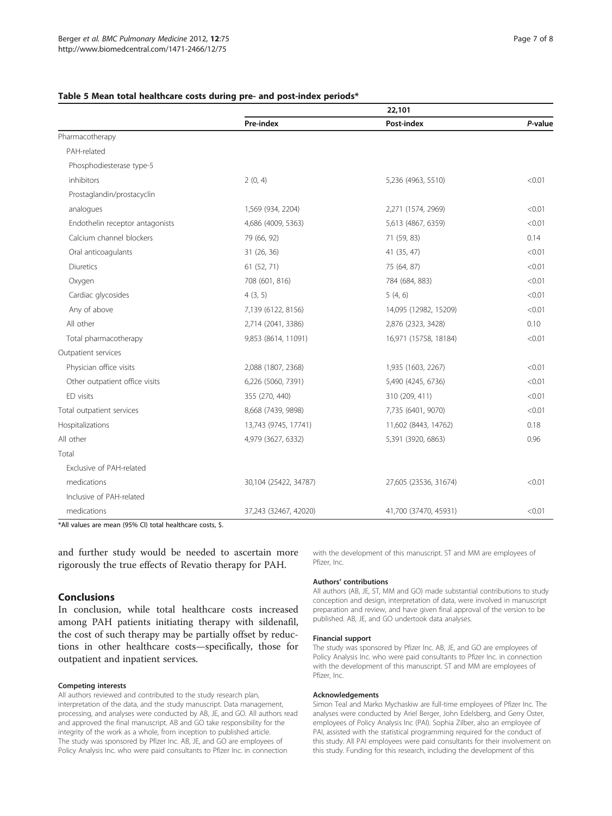|                                 | 22,101                |                       |         |
|---------------------------------|-----------------------|-----------------------|---------|
|                                 | Pre-index             | Post-index            | P-value |
| Pharmacotherapy                 |                       |                       |         |
| PAH-related                     |                       |                       |         |
| Phosphodiesterase type-5        |                       |                       |         |
| inhibitors                      | 2(0, 4)               | 5,236 (4963, 5510)    | < 0.01  |
| Prostaglandin/prostacyclin      |                       |                       |         |
| analogues                       | 1,569 (934, 2204)     | 2,271 (1574, 2969)    | < 0.01  |
| Endothelin receptor antagonists | 4,686 (4009, 5363)    | 5,613 (4867, 6359)    | < 0.01  |
| Calcium channel blockers        | 79 (66, 92)           | 71 (59, 83)           | 0.14    |
| Oral anticoagulants             | 31 (26, 36)           | 41 (35, 47)           | < 0.01  |
| <b>Diuretics</b>                | 61 (52, 71)           | 75 (64, 87)           | < 0.01  |
| Oxygen                          | 708 (601, 816)        | 784 (684, 883)        | < 0.01  |
| Cardiac glycosides              | 4(3, 5)               | 5(4, 6)               | < 0.01  |
| Any of above                    | 7,139 (6122, 8156)    | 14,095 (12982, 15209) | < 0.01  |
| All other                       | 2,714 (2041, 3386)    | 2,876 (2323, 3428)    | 0.10    |
| Total pharmacotherapy           | 9,853 (8614, 11091)   | 16,971 (15758, 18184) | < 0.01  |
| Outpatient services             |                       |                       |         |
| Physician office visits         | 2,088 (1807, 2368)    | 1,935 (1603, 2267)    | < 0.01  |
| Other outpatient office visits  | 6,226 (5060, 7391)    | 5,490 (4245, 6736)    | < 0.01  |
| ED visits                       | 355 (270, 440)        | 310 (209, 411)        | < 0.01  |
| Total outpatient services       | 8,668 (7439, 9898)    | 7,735 (6401, 9070)    | < 0.01  |
| Hospitalizations                | 13,743 (9745, 17741)  | 11,602 (8443, 14762)  | 0.18    |
| All other                       | 4,979 (3627, 6332)    | 5,391 (3920, 6863)    | 0.96    |
| Total                           |                       |                       |         |
| Exclusive of PAH-related        |                       |                       |         |
| medications                     | 30,104 (25422, 34787) | 27,605 (23536, 31674) | < 0.01  |
| Inclusive of PAH-related        |                       |                       |         |
| medications                     | 37,243 (32467, 42020) | 41,700 (37470, 45931) | < 0.01  |

# <span id="page-6-0"></span>Table 5 Mean total healthcare costs during pre- and post-index periods\*

\*All values are mean (95% CI) total healthcare costs, \$.

and further study would be needed to ascertain more rigorously the true effects of Revatio therapy for PAH.

# Conclusions

In conclusion, while total healthcare costs increased among PAH patients initiating therapy with sildenafil, the cost of such therapy may be partially offset by reductions in other healthcare costs—specifically, those for outpatient and inpatient services.

#### Competing interests

All authors reviewed and contributed to the study research plan, interpretation of the data, and the study manuscript. Data management, processing, and analyses were conducted by AB, JE, and GO. All authors read and approved the final manuscript. AB and GO take responsibility for the integrity of the work as a whole, from inception to published article. The study was sponsored by Pfizer Inc. AB, JE, and GO are employees of Policy Analysis Inc. who were paid consultants to Pfizer Inc. in connection

with the development of this manuscript. ST and MM are employees of Pfizer, Inc.

#### Authors' contributions

All authors (AB, JE, ST, MM and GO) made substantial contributions to study conception and design, interpretation of data, were involved in manuscript preparation and review, and have given final approval of the version to be published. AB, JE, and GO undertook data analyses.

#### Financial support

The study was sponsored by Pfizer Inc. AB, JE, and GO are employees of Policy Analysis Inc. who were paid consultants to Pfizer Inc. in connection with the development of this manuscript. ST and MM are employees of Pfizer, Inc.

#### Acknowledgements

Simon Teal and Marko Mychaskiw are full-time employees of Pfizer Inc. The analyses were conducted by Ariel Berger, John Edelsberg, and Gerry Oster, employees of Policy Analysis Inc (PAI). Sophia Zilber, also an employee of PAI, assisted with the statistical programming required for the conduct of this study. All PAI employees were paid consultants for their involvement on this study. Funding for this research, including the development of this